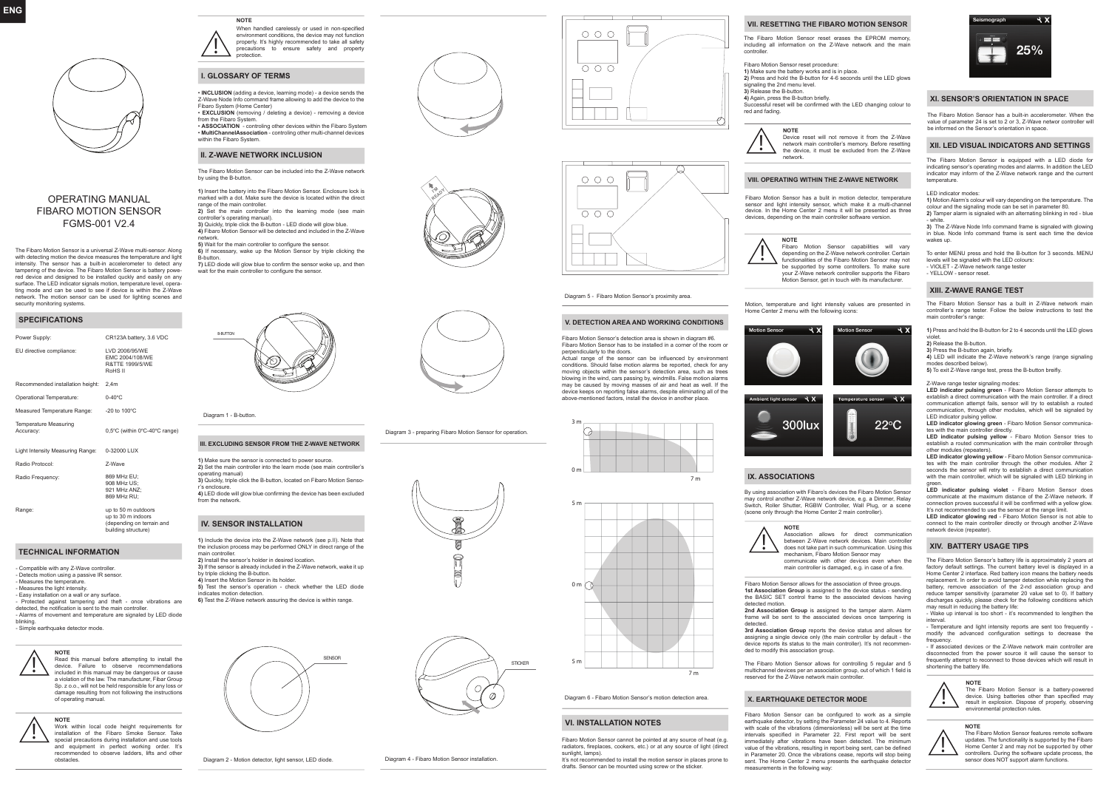

# OPERATING MANUAL FIBARO MOTION SENSOR FGMS-001 V2.4

The Fibaro Motion Sensor is a universal Z-Wave multi-sensor. Along with detecting motion the device measures the temperature and light intensity. The sensor has a built-in accelerometer to detect any tampering of the device. The Fibaro Motion Sensor is battery powered device and designed to be installed quckly and easily on any surface. The LED indicator signals motion, temperature level, operating mode and can be used to see if device is within the Z-Wave network. The motion sensor can be used for lighting scenes and security monitoring systems.

# **SPECIFICATIONS**

| Power Supply:                             | CR123A battery, 3.6 VDC                                                    |
|-------------------------------------------|----------------------------------------------------------------------------|
| EU directive compliance:                  | LVD 2006/95/WF<br>FMC 2004/108/WF<br>R&TTF 1999/5/WF<br>RoHS <sub>II</sub> |
| Recommended installation height:          | 2.4 <sub>m</sub>                                                           |
| Operational Temperature:                  | $0-40^{\circ}$ C                                                           |
| Measured Temperature Range:               | $-20$ to $100^{\circ}$ C                                                   |
| <b>Temperature Measuring</b><br>Accuracy: | 0,5°C (within 0°C-40°C range)                                              |
| Light Intensity Measuring Range:          | 0-32000 LUX                                                                |
| Radio Protocol:                           | 7-Wave                                                                     |
| Radio Frequency:                          | 869 MHz EU;<br>908 MHz US:<br>921 MHz ANZ:<br>869 MHz RU:                  |
| Range:                                    | up to 50 m outdoors<br>up to 30 m indoors<br>(depending on terrain and     |

**TECHNICAL INFORMATION**

- Compatible with any Z-Wave controller. - Detects motion using a passive IR sensor. - Measures the temperature. - Measures the light intensity - Easy installation on a wall or any surface. - Protected against tampering and theft - once vibrations are detected, the notification is sent to the main controller. - Alarms of movement and temperature are signaled by LED diode blinking.

building structure)

- Simple earthquake detector mode.





Work within local code height requirements for installation of the Fibaro Smoke Sensor. Take special precautions during installation and use tools and equipment in perfect working order. It's recommended to observe ladders, lifts and other obstacles.

When handled carelessly or used in non-specified environment conditions, the device may not function properly. It's highly recommended to take all safety precautions to ensure safety and property **protection NOTE** 

# **I. GLOSSARY OF TERMS**

**!**

- **INCLUSION** (adding a device, learning mode) a device sends the Z-Wave Node Info command frame allowing to add the device to the Fibaro System (Home Center) **EXCLUSION** (removing / deleting a device) - removing a device
- from the Fibaro System. **ASSOCIATION** - controling other devices within the Fibaro System
- **MultiChannelAssociation** controling other multi-channel devices within the Fibaro System.

# **II. Z-WAVE NETWORK INCLUSION**

The Fibaro Motion Sensor can be included into the Z-Wave network by using the B-button.

**1)** Insert the battery into the Fibaro Motion Sensor. Enclosure lock is marked with a dot. Make sure the device is located within the direct mains a main a sear mains or<br>range of the main controller **2)** Set the main controller into the learning mode (see main

controller's operating manual). **3)** Quickly, triple click the B-button - LED diode will glow blue.

**4)** Fibaro Motion Sensor will be detected and included in the Z-Wave .<br>network

**5)** Wait for the main controller to configure the sensor. **6)** If necessary, wake up the Motion Sensor by triple clicking the B-button.

**7)** LED diode will glow blue to confirm the sensor woke up, and then wait for the main controller to configure the sensor.



Diagram 1 - B-button.

# **III. EXCLUDING SENSOR FROM THE Z-WAVE NETWORK**

**1)** Make sure the sensor is connected to power source. **2)** Set the main controller into the learn mode (see main controller's operating manual) **3)** Quickly, triple click the B-button, located on Fibaro Motion Sensor's enclosure. **4)** LED diode will glow blue confirming the device has been excluded from the network.

# **IV. SENSOR INSTALLATION**

**1)** Include the device into the Z-Wave network (see p.II). Note that the inclusion process may be performed ONLY in direct range of the main controller. **2)** Install the sensor's holder in desired location. **3)** If the sensor is already included in the Z-Wave network, wake it up by triple clicking the B-button. **4)** Insert the Motion Sensor in its holder. **5)** Test the sensor's operation - check whether the LED diode indicates motion detection. **6)** Test the Z-Wave network assuring the device is within range.



Diagram 2 - Motion detector, light sensor, LED diode. Diagram 4 - Fibaro Motion Sensor installation.



**I'M READY** 

Diagram 3 - preparing Fibaro Motion Sensor for operation.





Diagram 5 - Fibaro Motion Sensor's proximity area.

**V. DETECTION AREA AND WORKING CONDITIONS** Fibaro Motion Sensor's detection area is shown in diagram #6. Fibaro Motion Sensor has to be installed in a corner of the room or

perpendicularly to the doors. Actual range of the sensor can be influenced by environment conditions. Should false motion alarms be reported, check for any moving objects within the sensor's detection area, such as trees blowing in the wind, cars passing by, windmills. False motion alarms may be caused by moving masses of air and heat as well. If the device keeps on reporting false alarms, despite eliminating all of the above-mentioned factors, install the device in another place.





Diagram 6 - Fibaro Motion Sensor's motion detection area.

# **VI. INSTALLATION NOTES**

radiators, fireplaces, cookers, etc.) or at any source of light (direct sunlight, lamps). It's not recommended to install the motion sensor in places prone to

drafts. Sensor can be mounted using screw or the sticker

# **VII. RESETTING THE FIBARO MOTION SENSOR**

The Fibaro Motion Sensor reset erases the EPROM memory, including all information on the Z-Wave network and the main controlle

Fibaro Motion Sensor reset procedure: **1)** Make sure the battery works and is in place. **2)** Press and hold the B-button for 4-6 seconds until the LED glows

signaling the 2nd menu level. **3)** Release the B-button. **4)** Again, press the B-button briefly. Successful reset will be confirmed with the LED changing colour to

red and fading.



# **VIII. OPERATING WITHIN THE Z-WAVE NETWORK**

Fibaro Motion Sensor has a bulit in motion detector, temperature sensor and light intensity sensor, which make it a multi-channel device. In the Home Center 2 menu it will be presented as three devices, depending on the main controller software version.

**NOTE** 

**!**

Fibaro Motion Sensor capabilities will vary depending on the Z-Wave network controller. Certain functionalities of the Fibaro Motion Sensor may not be supported by some controllers. To make sure your Z-Wave network controller supports the Fibaro Motion Sensor, get in touch with its manufacturer.

Motion, temperature and light intensity values are presented in Home Center 2 menu with the following icons:





# **IX. ASSOCIATIONS**

**!**

By using association with Fibaro's devices the Fibaro Motion Sensor may control another Z-Wave network device, e.g. a Dimmer, Relay Switch, Roller Shutter, RGBW Controller, Wall Plug, or a scene (scene only through the Home Center 2 main controller).



between Z-Wave network devices. Main controller does not take part in such communication. Using this mechanism, Fibaro Motion Sensor may

communicate with other devices even when the main controller is damaged, e.g. in case of a fire.

Fibaro Motion Sensor allows for the association of three groups. **1st Association Group** is assigned to the device status - sending the BASIC SET control frame to the associated devices having detected motion.

**2nd Association Group** is assigned to the tamper alarm. Alarm frame will be sent to the associated devices once tampering is detected.

**3rd Association Group** reports the device status and allows for assigning a single device only (the main controller by default - the device reports its status to the main controller). It's not recommended to modify this association group.

The Fibaro Motion Sensor allows for controlling 5 regular and 5 multichannel devices per an association group, out of which 1 field is reserved for the Z-Wave network main controller.

### **X. EARTHQUAKE DETECTOR MODE**

Fibaro Motion Sensor can be configured to work as a simple earthquake detector, by setting the Parameter 24 value to 4. Reports with scale of the vibrations (dimensionless) will be sent at the time intervals specified in Parameter 22. First report will be sent immediately after vibrations have been detected. The minimum value of the vibrations, resulting in report being sent, can be defined in Parameter 20. Once the vibrations cease, reports will stop being sent. The Home Center 2 menu presents the earthquake detector measurements in the following way

25%

### **XI. SENSOR'S ORIENTATION IN SPACE**

The Fibaro Motion Sensor has a built-in accelerometer. When the value of parameter 24 is set to 2 or 3, Z-Wave networ controller will be informed on the Sensor's orientation in space.

# **XII. LED VISUAL INDICATORS AND SETTINGS**

The Fibaro Motion Sensor is equipped with a LED diode for indicating sensor's operating modes and alarms. In addition the LED indicator may inform of the Z-Wave network range and the current temperature.

#### LED indicator modes:

**1)** Motion Alarm's colour will vary depending on the temperature. The colour and the signaling mode can be set in parameter 80. **2)** Tamper alarm is signaled with an alternating blinking in red - blue

- white. **3)** The Z-Wave Node Info command frame is signaled with glowing in blue. Node Info command frame is sent each time the device wakes up.

To enter MENU press and hold the B-button for 3 seconds. MENU levels will be signaled with the LED colours: - VIOLET - Z-Wave network range tester - YELLOW - sensor reset.

#### **XIII. Z-WAVE RANGE TEST**

The Fibaro Motion Sensor has a built in Z-Wave network main controller's range tester. Follow the below instructions to test the main controller's range

**1)** Press and hold the B-button for 2 to 4 seconds until the LED glows

violet. **2)** Release the B-button.

**3)** Press the B-button again, briefly. **4)** LED will indicate the Z-Wave network's range (range signaling modes described below). **5)** To exit Z-Wave range test, press the B-button breifly.

Z-Wave range tester signaling modes:

**LED indicator pulsing green** - Fibaro Motion Sensor attempts to extablish a direct communication with the main controller. If a direct communication attempt fails, sensor will try to establish a routed communication, through other modules, which will be signaled by LED indicator pulsing yellow.

**LED indicator glowing green** - Fibaro Motion Sensor communicates with the main controller directly.

**LED indicator pulsing yellow** - Fibaro Motion Sensor tries to establish a routed communication with the main controller through other modules (repeaters).

**LED indicator glowing yellow** - Fibaro Motion Sensor communica-tes with the main controller through the other modules. After 2 seconds the sensor will retry to establish a direct communication with the main controller, which will be signaled with LED blinking in

green. **LED indicator pulsing violet** - Fibaro Motion Sensor does communicate at the maximum distance of the Z-Wave network. If connection proves successful it will be confirmed with a yellow glow. It's not recommended to use the sensor at the range limit.

**LED indicator glowing red** - Fibaro Motion Sensor is not able to connect to the main controller directly or through another Z-Wave network device (repeater).

### **XIV. BATTERY USAGE TIPS**

The Fibaro Motion Sensor's battery life is approximately 2 years at factory default settings. The current battery level is displayed in a Home Center 2 interface. Red battery icon means the battery needs replacement. In order to avoid tamper detection while replacing the battery, remove association of the 2-nd association group and reduce tamper sensitivity (parameter 20 value set to 0). If battery discharges quickly, please check for the following conditions which may result in reducing the battery life:

- Wake up interval is too short - it's recommended to lengthen the interval.

- Temperature and light intensity reports are sent too frequently modify the advanced configuration settings to decrease the frequency

- If associated devices or the Z-Wave network main controller are disconnected from the power source it will cause the sensor to frequently attempt to reconnect to those devices which will result in shortening the battery life.



**!**

# **NOTE**

The Fibaro Motion Sensor features remote software updates. The functionality is supported by the Fibaro Home Center 2 and may not be supported by other controllers. During the software update process, the sensor does NOT support alarm functions. **!**



STICKER

 $\subset$